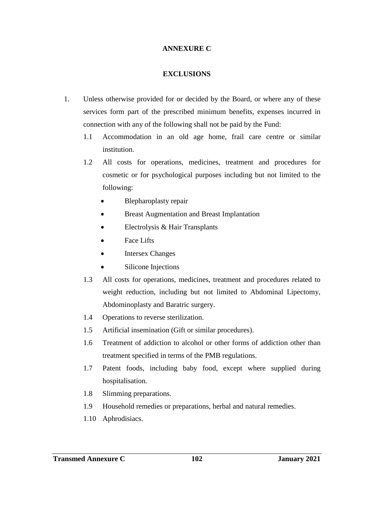## **ANNEXURE C**

## **EXCLUSIONS**

- 1. Unless otherwise provided for or decided by the Board, or where any of these services form part of the prescribed minimum benefits, expenses incurred in connection with any of the following shall not be paid by the Fund:
	- 1.1 Accommodation in an old age home, frail care centre or similar institution.
	- 1.2 All costs for operations, medicines, treatment and procedures for cosmetic or for psychological purposes including but not limited to the following:
		- Blepharoplasty repair
		- Breast Augmentation and Breast Implantation
		- Electrolysis & Hair Transplants
		- Face Lifts
		- Intersex Changes
		- Silicone Injections
	- 1.3 All costs for operations, medicines, treatment and procedures related to weight reduction, including but not limited to Abdominal Lipectomy, Abdominoplasty and Baratric surgery.
	- 1.4 Operations to reverse sterilization.
	- 1.5 Artificial insemination (Gift or similar procedures).
	- 1.6 Treatment of addiction to alcohol or other forms of addiction other than treatment specified in terms of the PMB regulations.
	- 1.7 Patent foods, including baby food, except where supplied during hospitalisation.
	- 1.8 Slimming preparations.
	- 1.9 Household remedies or preparations, herbal and natural remedies.
	- 1.10 Aphrodisiacs.